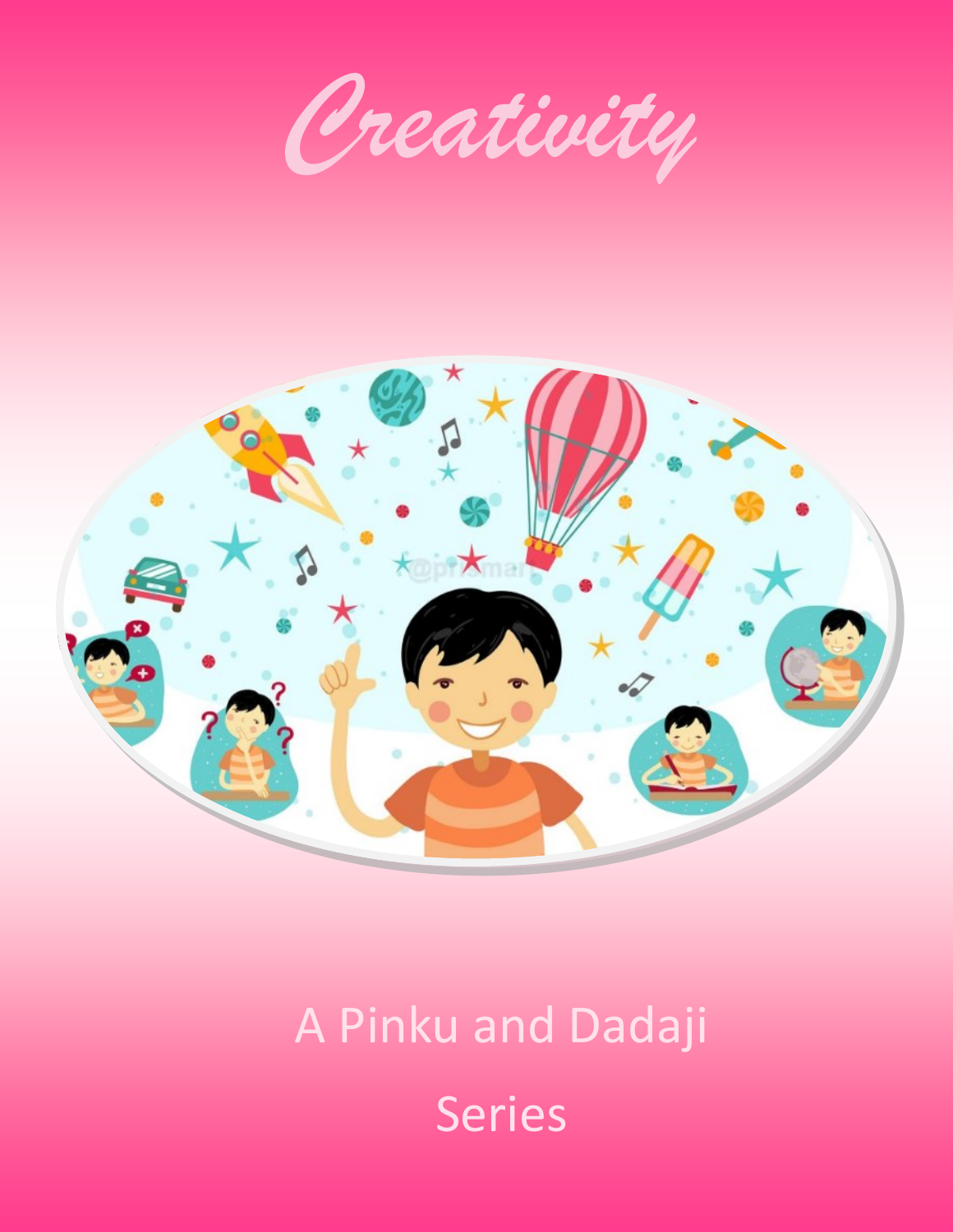*Creativity*



# A Pinku and Dadaji Series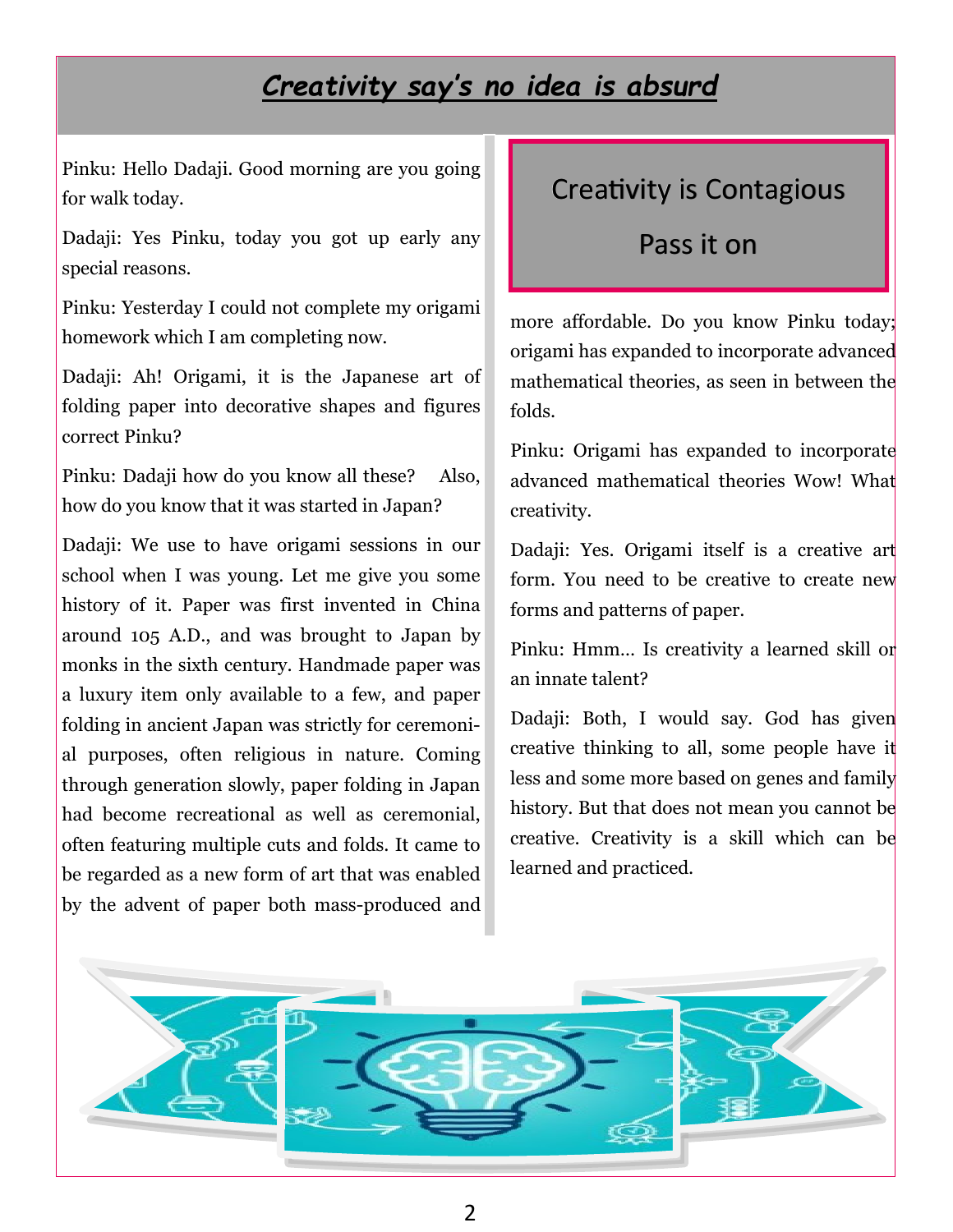#### *Creativity say's no idea is absurd*

Pinku: Hello Dadaji. Good morning are you going for walk today.

Dadaji: Yes Pinku, today you got up early any special reasons.

Pinku: Yesterday I could not complete my origami homework which I am completing now.

Dadaji: Ah! Origami, it is the Japanese art of folding paper into decorative shapes and figures correct Pinku?

Pinku: Dadaji how do you know all these? Also, how do you know that it was started in Japan?

Dadaji: We use to have origami sessions in our school when I was young. Let me give you some history of it. Paper was first invented in China around 105 A.D., and was brought to Japan by monks in the sixth century. Handmade paper was a luxury item only available to a few, and paper folding in ancient Japan was strictly for ceremonial purposes, often religious in nature. Coming through generation slowly, paper folding in Japan had become recreational as well as ceremonial, often featuring multiple cuts and folds. It came to be regarded as a new form of art that was enabled by the advent of paper both mass-produced and

#### Creativity is Contagious

Pass it on

more affordable. Do you know Pinku today; origami has expanded to incorporate advanced mathematical theories, as seen in between the folds.

Pinku: Origami has expanded to incorporate advanced mathematical theories Wow! What creativity.

Dadaji: Yes. Origami itself is a creative art form. You need to be creative to create new forms and patterns of paper.

Pinku: Hmm… Is creativity a learned skill or an innate talent?

Dadaji: Both, I would say. God has given creative thinking to all, some people have it less and some more based on genes and family history. But that does not mean you cannot be creative. Creativity is a skill which can be learned and practiced.

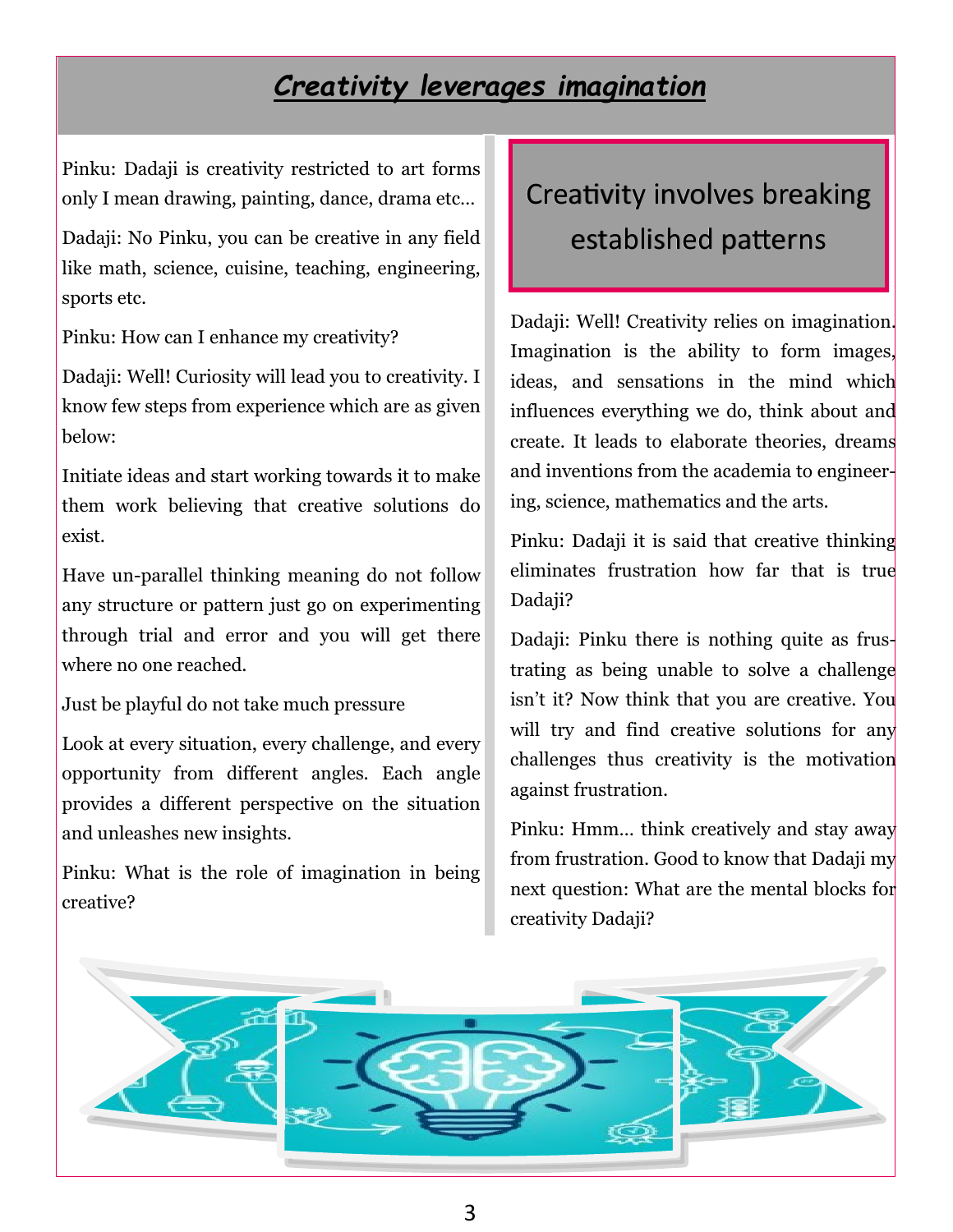## *Creativity leverages imagination*

Pinku: Dadaji is creativity restricted to art forms only I mean drawing, painting, dance, drama etc…

Dadaji: No Pinku, you can be creative in any field like math, science, cuisine, teaching, engineering, sports etc.

Pinku: How can I enhance my creativity?

Dadaji: Well! Curiosity will lead you to creativity. I know few steps from experience which are as given below:

Initiate ideas and start working towards it to make them work believing that creative solutions do exist.

Have un-parallel thinking meaning do not follow any structure or pattern just go on experimenting through trial and error and you will get there where no one reached.

Just be playful do not take much pressure

Look at every situation, every challenge, and every opportunity from different angles. Each angle provides a different perspective on the situation and unleashes new insights.

Pinku: What is the role of imagination in being creative?

# Creativity involves breaking established patterns

Dadaji: Well! Creativity relies on imagination. Imagination is the ability to form images, ideas, and sensations in the mind which influences everything we do, think about and create. It leads to elaborate theories, dreams and inventions from the academia to engineering, science, mathematics and the arts.

Pinku: Dadaji it is said that creative thinking eliminates frustration how far that is true Dadaji?

Dadaji: Pinku there is nothing quite as frustrating as being unable to solve a challenge isn't it? Now think that you are creative. You will try and find creative solutions for any challenges thus creativity is the motivation against frustration.

Pinku: Hmm… think creatively and stay away from frustration. Good to know that Dadaji my next question: What are the mental blocks for creativity Dadaji?

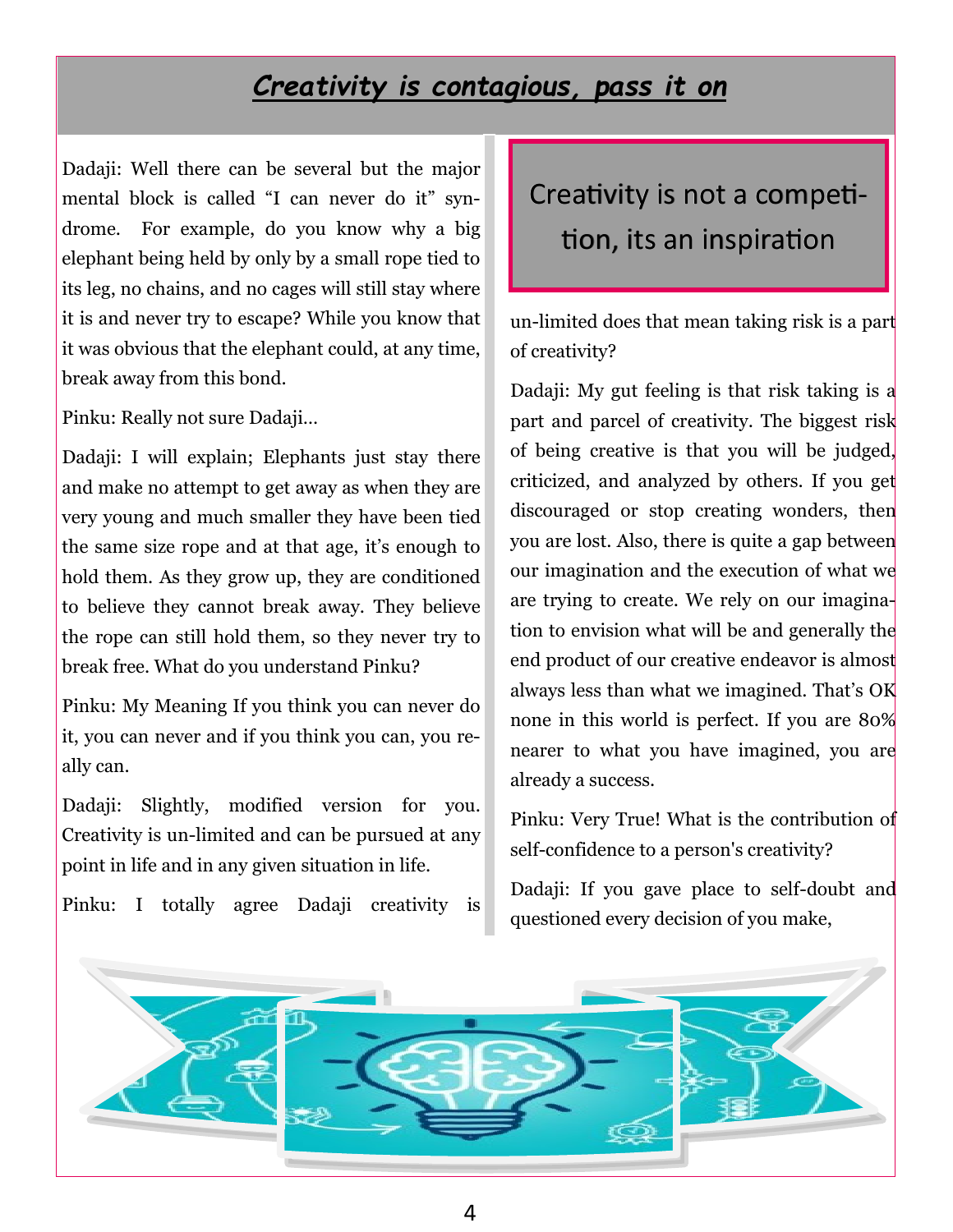#### *Creativity is contagious, pass it on*

Dadaji: Well there can be several but the major mental block is called "I can never do it" syndrome. For example, do you know why a big elephant being held by only by a small rope tied to its leg, no chains, and no cages will still stay where it is and never try to escape? While you know that it was obvious that the elephant could, at any time, break away from this bond.

Pinku: Really not sure Dadaji…

Dadaji: I will explain; Elephants just stay there and make no attempt to get away as when they are very young and much smaller they have been tied the same size rope and at that age, it's enough to hold them. As they grow up, they are conditioned to believe they cannot break away. They believe the rope can still hold them, so they never try to break free. What do you understand Pinku?

Pinku: My Meaning If you think you can never do it, you can never and if you think you can, you really can.

Dadaji: Slightly, modified version for you. Creativity is un-limited and can be pursued at any point in life and in any given situation in life.

Pinku: I totally agree Dadaji creativity is

# Creativity is not a competition, its an inspiration

un-limited does that mean taking risk is a part of creativity?

Dadaji: My gut feeling is that risk taking is a part and parcel of creativity. The biggest risk of being creative is that you will be judged, criticized, and analyzed by others. If you get discouraged or stop creating wonders, then you are lost. Also, there is quite a gap between our imagination and the execution of what we are trying to create. We rely on our imagination to envision what will be and generally the end product of our creative endeavor is almost always less than what we imagined. That's OK none in this world is perfect. If you are 80% nearer to what you have imagined, you are already a success.

Pinku: Very True! What is the contribution of self-confidence to a person's creativity?

Dadaji: If you gave place to self-doubt and questioned every decision of you make,

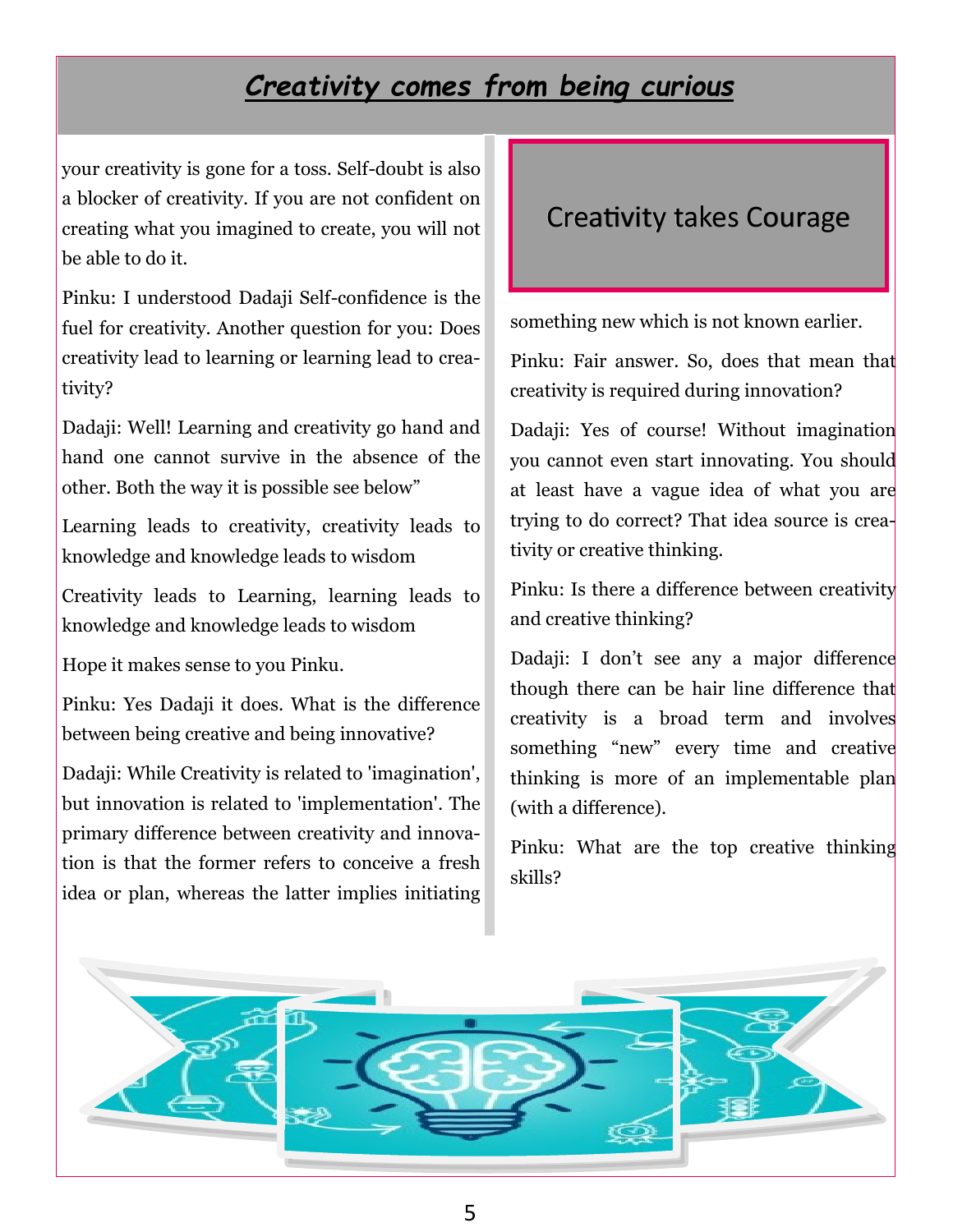### *Creativity comes from being curious*

your creativity is gone for a toss. Self-doubt is also a blocker of creativity. If you are not confident on creating what you imagined to create, you will not be able to do it.

Pinku: I understood Dadaji Self-confidence is the fuel for creativity. Another question for you: Does creativity lead to learning or learning lead to creativity?

Dadaji: Well! Learning and creativity go hand and hand one cannot survive in the absence of the other. Both the way it is possible see below"

Learning leads to creativity, creativity leads to knowledge and knowledge leads to wisdom

Creativity leads to Learning, learning leads to knowledge and knowledge leads to wisdom

Hope it makes sense to you Pinku.

Pinku: Yes Dadaji it does. What is the difference between being creative and being innovative?

Dadaji: While Creativity is related to 'imagination', but innovation is related to 'implementation'. The primary difference between creativity and innovation is that the former refers to conceive a fresh idea or plan, whereas the latter implies initiating

#### Creativity takes Courage

something new which is not known earlier.

Pinku: Fair answer. So, does that mean that creativity is required during innovation?

Dadaji: Yes of course! Without imagination you cannot even start innovating. You should at least have a vague idea of what you are trying to do correct? That idea source is creativity or creative thinking.

Pinku: Is there a difference between creativity and creative thinking?

Dadaji: I don't see any a major difference though there can be hair line difference that creativity is a broad term and involves something "new" every time and creative thinking is more of an implementable plan (with a difference).

Pinku: What are the top creative thinking skills?

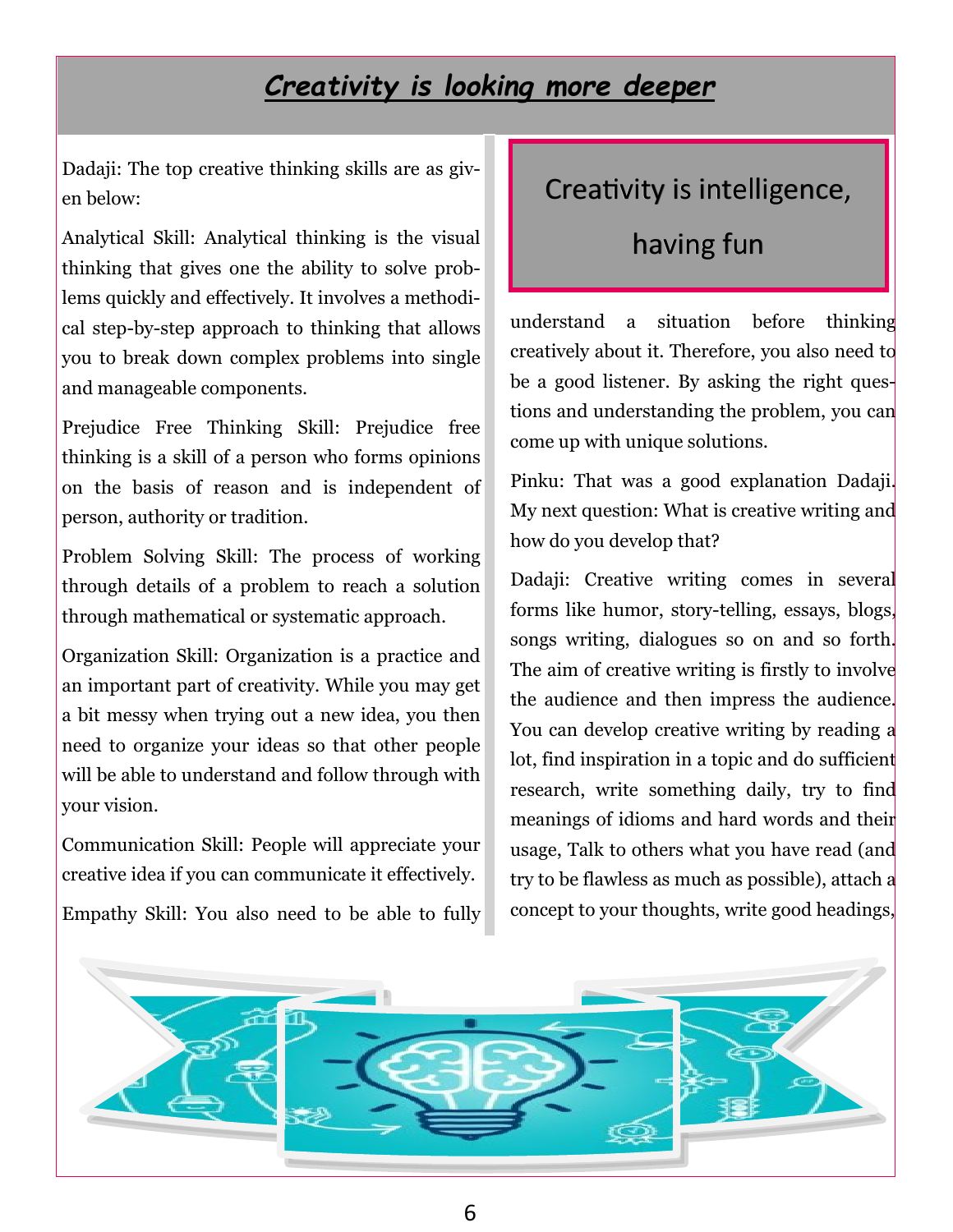#### *Creativity is looking more deeper*

Dadaji: The top creative thinking skills are as given below:

Analytical Skill: Analytical thinking is the visual thinking that gives one the ability to solve problems quickly and effectively. It involves a methodical step-by-step approach to thinking that allows you to break down complex problems into single and manageable components.

Prejudice Free Thinking Skill: Prejudice free thinking is a skill of a person who forms opinions on the basis of reason and is independent of person, authority or tradition.

Problem Solving Skill: The process of working through details of a problem to reach a solution through mathematical or systematic approach.

Organization Skill: Organization is a practice and an important part of creativity. While you may get a bit messy when trying out a new idea, you then need to organize your ideas so that other people will be able to understand and follow through with your vision.

Communication Skill: People will appreciate your creative idea if you can communicate it effectively.

Empathy Skill: You also need to be able to fully

### Creativity is intelligence,

## having fun

understand a situation before thinking creatively about it. Therefore, you also need to be a good listener. By asking the right questions and understanding the problem, you can come up with unique solutions.

Pinku: That was a good explanation Dadaji. My next question: What is creative writing and how do you develop that?

Dadaji: Creative writing comes in several forms like humor, story-telling, essays, blogs, songs writing, dialogues so on and so forth. The aim of creative writing is firstly to involve the audience and then impress the audience. You can develop creative writing by reading a lot, find inspiration in a topic and do sufficient research, write something daily, try to find meanings of idioms and hard words and their usage, Talk to others what you have read (and try to be flawless as much as possible), attach a concept to your thoughts, write good headings,

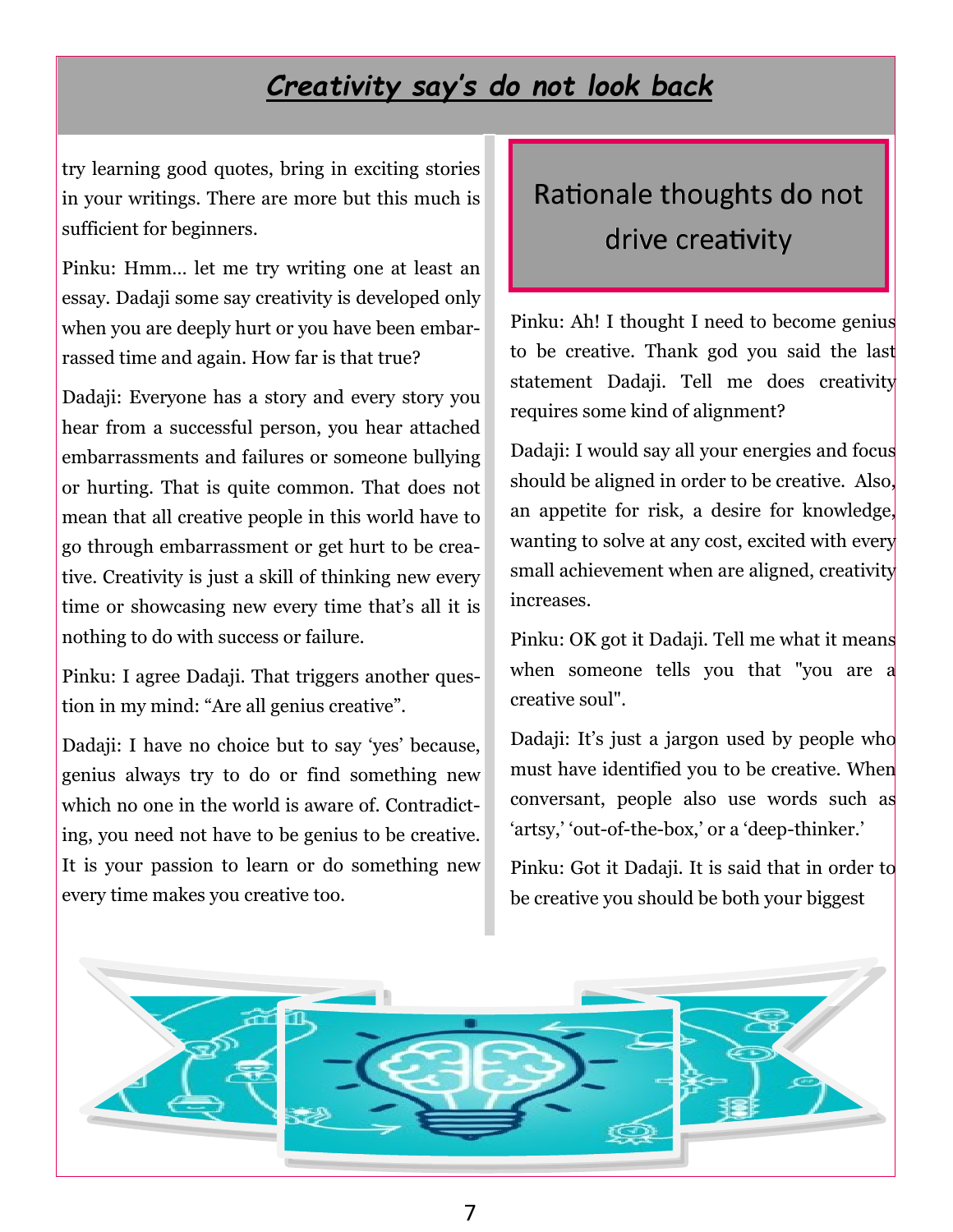## *Creativity say's do not look back*

try learning good quotes, bring in exciting stories in your writings. There are more but this much is sufficient for beginners.

Pinku: Hmm… let me try writing one at least an essay. Dadaji some say creativity is developed only when you are deeply hurt or you have been embarrassed time and again. How far is that true?

Dadaji: Everyone has a story and every story you hear from a successful person, you hear attached embarrassments and failures or someone bullying or hurting. That is quite common. That does not mean that all creative people in this world have to go through embarrassment or get hurt to be creative. Creativity is just a skill of thinking new every time or showcasing new every time that's all it is nothing to do with success or failure.

Pinku: I agree Dadaji. That triggers another question in my mind: "Are all genius creative".

Dadaji: I have no choice but to say 'yes' because, genius always try to do or find something new which no one in the world is aware of. Contradicting, you need not have to be genius to be creative. It is your passion to learn or do something new every time makes you creative too.

## Rationale thoughts do not drive creativity

Pinku: Ah! I thought I need to become genius to be creative. Thank god you said the last statement Dadaji. Tell me does creativity requires some kind of alignment?

Dadaji: I would say all your energies and focus should be aligned in order to be creative. Also, an appetite for risk, a desire for knowledge, wanting to solve at any cost, excited with every small achievement when are aligned, creativity increases.

Pinku: OK got it Dadaji. Tell me what it means when someone tells you that "you are a creative soul".

Dadaji: It's just a jargon used by people who must have identified you to be creative. When conversant, people also use words such as 'artsy,' 'out-of-the-box,' or a 'deep-thinker.'

Pinku: Got it Dadaji. It is said that in order to be creative you should be both your biggest

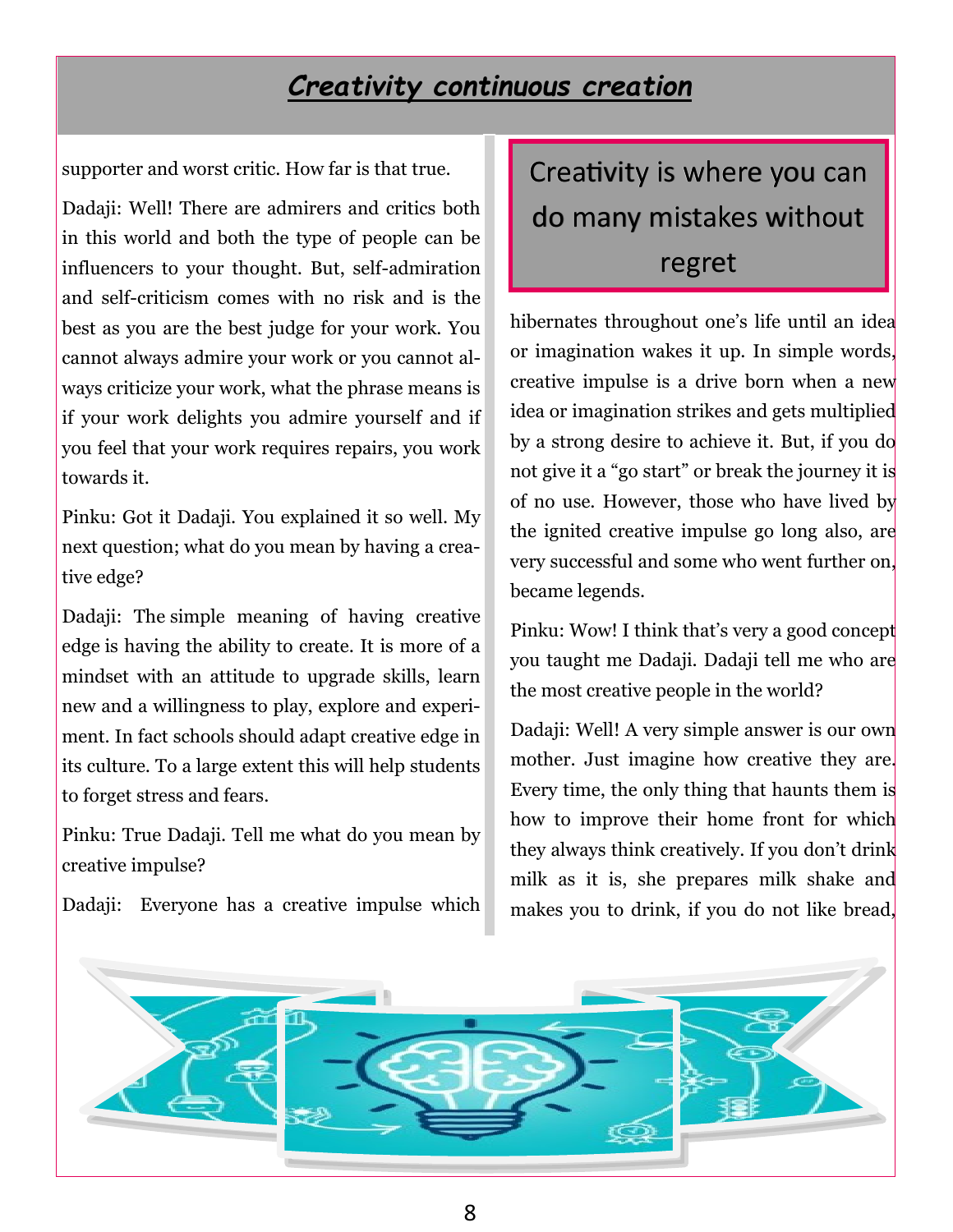#### *Creativity continuous creation*

supporter and worst critic. How far is that true.

Dadaji: Well! There are admirers and critics both in this world and both the type of people can be influencers to your thought. But, self-admiration and self-criticism comes with no risk and is the best as you are the best judge for your work. You cannot always admire your work or you cannot always criticize your work, what the phrase means is if your work delights you admire yourself and if you feel that your work requires repairs, you work towards it.

Pinku: Got it Dadaji. You explained it so well. My next question; what do you mean by having a creative edge?

Dadaji: The simple meaning of having creative edge is having the ability to create. It is more of a mindset with an attitude to upgrade skills, learn new and a willingness to play, explore and experiment. In fact schools should adapt creative edge in its culture. To a large extent this will help students to forget stress and fears.

Pinku: True Dadaji. Tell me what do you mean by creative impulse?

Dadaji: Everyone has a creative impulse which

# Creativity is where you can do many mistakes without regret

hibernates throughout one's life until an idea or imagination wakes it up. In simple words, creative impulse is a drive born when a new idea or imagination strikes and gets multiplied by a strong desire to achieve it. But, if you do not give it a "go start" or break the journey it is of no use. However, those who have lived by the ignited creative impulse go long also, are very successful and some who went further on, became legends.

Pinku: Wow! I think that's very a good concept you taught me Dadaji. Dadaji tell me who are the most creative people in the world?

Dadaji: Well! A very simple answer is our own mother. Just imagine how creative they are. Every time, the only thing that haunts them is how to improve their home front for which they always think creatively. If you don't drink milk as it is, she prepares milk shake and makes you to drink, if you do not like bread,

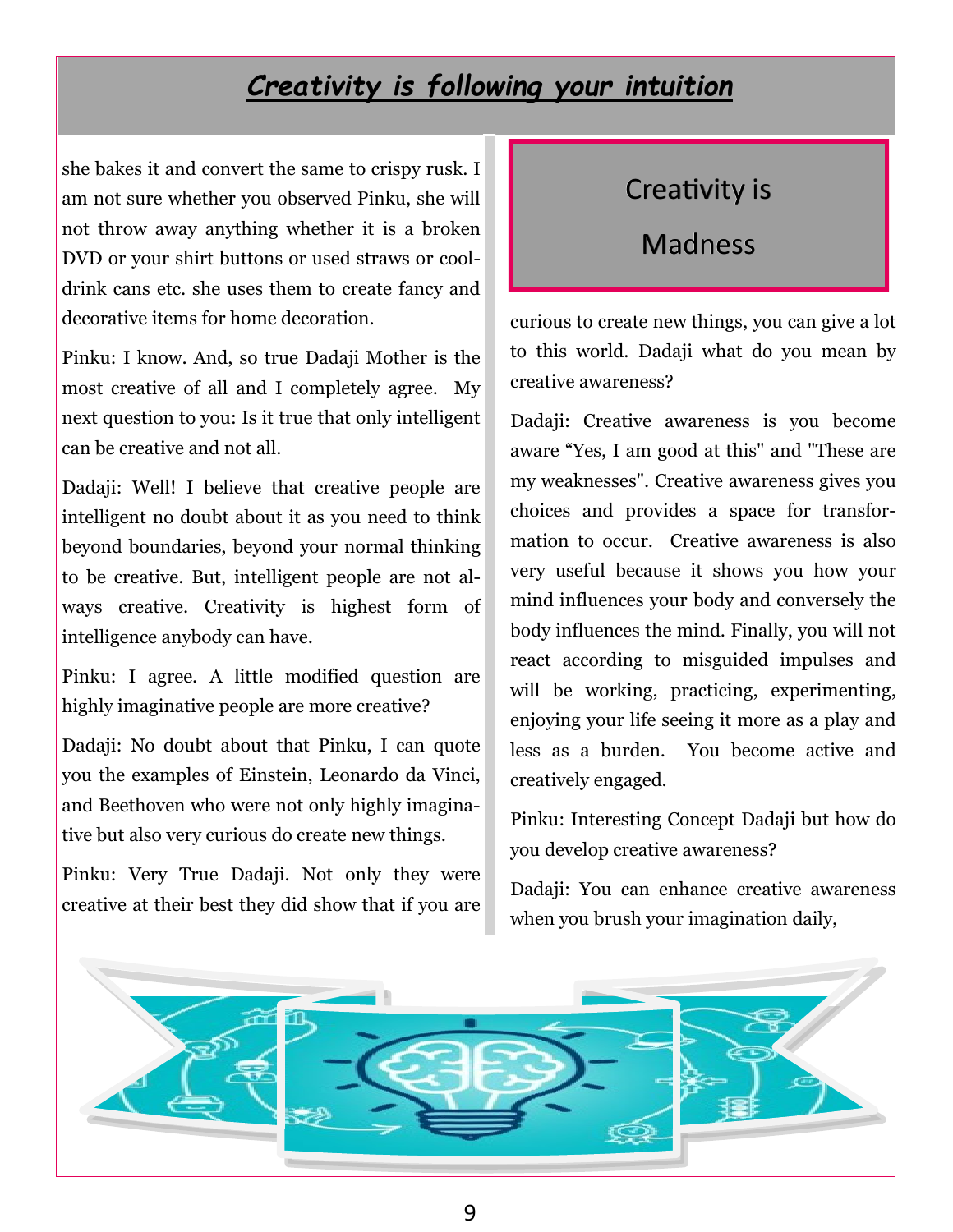#### *Creativity is following your intuition*

she bakes it and convert the same to crispy rusk. I am not sure whether you observed Pinku, she will not throw away anything whether it is a broken DVD or your shirt buttons or used straws or cooldrink cans etc. she uses them to create fancy and decorative items for home decoration.

Pinku: I know. And, so true Dadaji Mother is the most creative of all and I completely agree. My next question to you: Is it true that only intelligent can be creative and not all.

Dadaji: Well! I believe that creative people are intelligent no doubt about it as you need to think beyond boundaries, beyond your normal thinking to be creative. But, intelligent people are not always creative. Creativity is highest form of intelligence anybody can have.

Pinku: I agree. A little modified question are highly imaginative people are more creative?

Dadaji: No doubt about that Pinku, I can quote you the examples of Einstein, Leonardo da Vinci, and Beethoven who were not only highly imaginative but also very curious do create new things.

Pinku: Very True Dadaji. Not only they were creative at their best they did show that if you are

#### Creativity is

#### Madness

curious to create new things, you can give a lot to this world. Dadaji what do you mean by creative awareness?

Dadaji: Creative awareness is you become aware "Yes, I am good at this" and "These are my weaknesses". Creative awareness gives you choices and provides a space for transformation to occur. Creative awareness is also very useful because it shows you how your mind influences your body and conversely the body influences the mind. Finally, you will not react according to misguided impulses and will be working, practicing, experimenting, enjoying your life seeing it more as a play and less as a burden. You become active and creatively engaged.

Pinku: Interesting Concept Dadaji but how do you develop creative awareness?

Dadaji: You can enhance creative awareness when you brush your imagination daily,

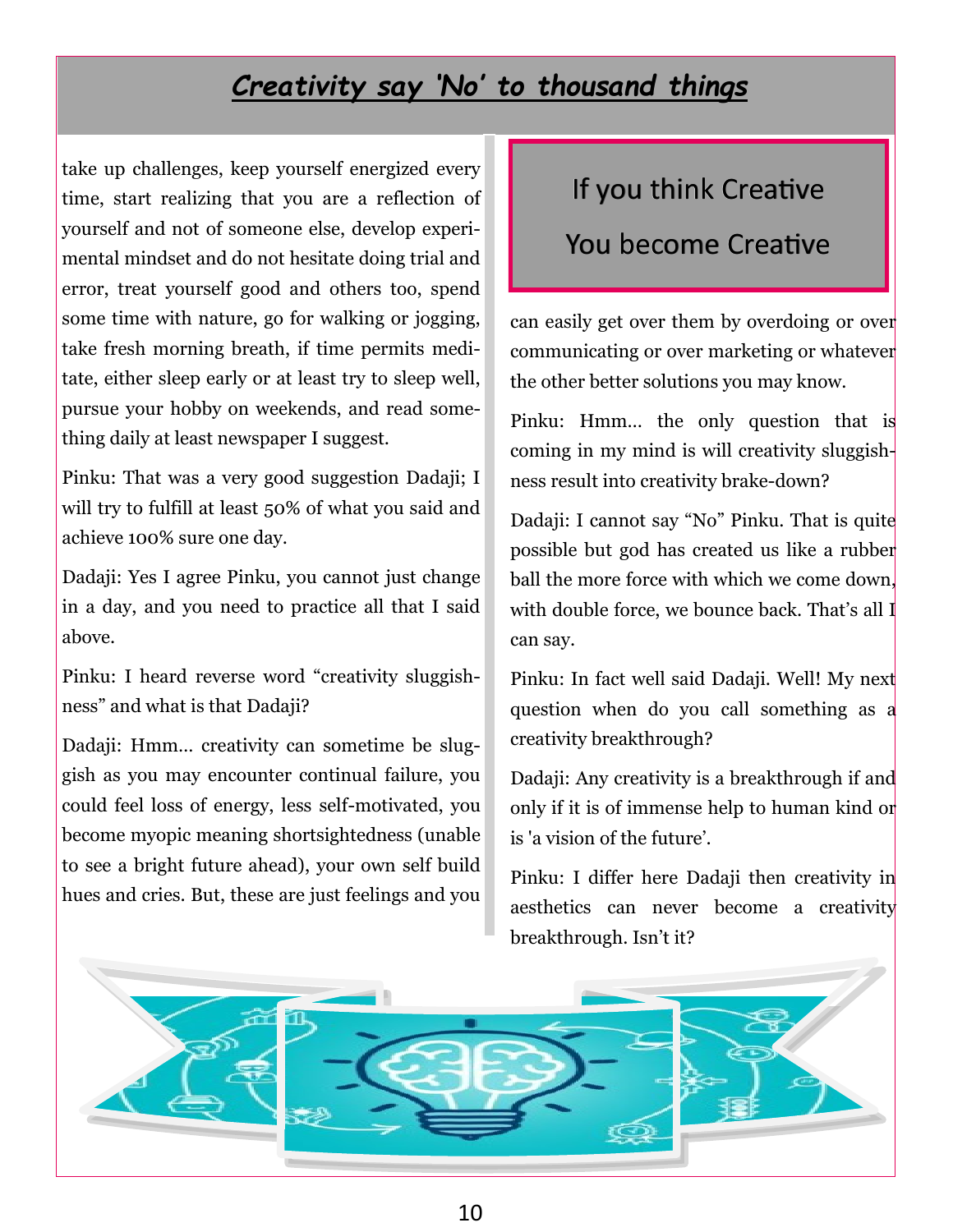## *Creativity say 'No' to thousand things*

take up challenges, keep yourself energized every time, start realizing that you are a reflection of yourself and not of someone else, develop experimental mindset and do not hesitate doing trial and error, treat yourself good and others too, spend some time with nature, go for walking or jogging, take fresh morning breath, if time permits meditate, either sleep early or at least try to sleep well, pursue your hobby on weekends, and read something daily at least newspaper I suggest.

Pinku: That was a very good suggestion Dadaji; I will try to fulfill at least 50% of what you said and achieve 100% sure one day.

Dadaji: Yes I agree Pinku, you cannot just change in a day, and you need to practice all that I said above.

Pinku: I heard reverse word "creativity sluggishness" and what is that Dadaji?

Dadaji: Hmm… creativity can sometime be sluggish as you may encounter continual failure, you could feel loss of energy, less self-motivated, you become myopic meaning shortsightedness (unable to see a bright future ahead), your own self build hues and cries. But, these are just feelings and you

## If you think Creative

#### You become Creative

can easily get over them by overdoing or over communicating or over marketing or whatever the other better solutions you may know.

Pinku: Hmm… the only question that is coming in my mind is will creativity sluggishness result into creativity brake-down?

Dadaji: I cannot say "No" Pinku. That is quite possible but god has created us like a rubber ball the more force with which we come down, with double force, we bounce back. That's all I can say.

Pinku: In fact well said Dadaji. Well! My next question when do you call something as a creativity breakthrough?

Dadaji: Any creativity is a breakthrough if and only if it is of immense help to human kind or is 'a vision of the future'.

Pinku: I differ here Dadaji then creativity in aesthetics can never become a creativity breakthrough. Isn't it?